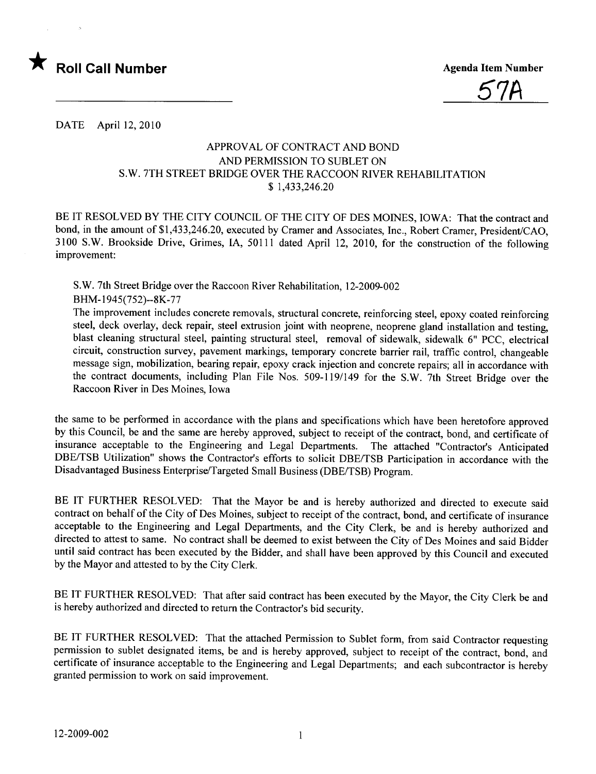



DATE April 12,2010

## APPROV AL OF CONTRACT AND BOND AND PERMISSION TO SUBLET ON S.W. 7TH STREET BRIDGE OVER THE RACCOON RIVER REHABILITATION \$ 1,433,246.20

BE IT RESOLVED BY THE CITY COUNCIL OF THE CITY OF DES MOINES, IOWA: That the contract and bond, in the amount of \$1,433,246.20, executed by Cramer and Associates, Inc., Robert Cramer, President/CAO, 3100 S.W. Brookside Drive, Grimes, lA, 5011 1 dated April 12, 2010, for the construction of the following improvement:

S.W. 7th Street Bridge over the Raccoon River Rehabilitation, 12-2009-002 BHM-1945(752)--8K-77

The improvement includes concrete removals, structural concrete, reinforcing steel, epoxy coated reinforcing steel, deck overlay, deck repair, steel extrusion joint with neoprene, neoprene gland installation and testing, blast cleaning structural steel, painting structural steel, removal of sidewalk, sidewalk 6" PCC, electrical circuit, construction survey, pavement markings, temporary concrete barrier rail, traffic control, changeable message sign, mobilization, bearing repair, epoxy crack injection and concrete repairs; all in accordance with the contract documents, including Plan File Nos. 509-119/149 for the S.W. 7th Street Bridge over the Raccoon River in Des Moines, Iowa

the same to be performed in accordance with the plans and specifications which have been heretofore approved by this Council, be and the same are hereby approved, subject to receipt of the contract, bond, and certificate of insurance acceptable to the Engineering and Legal Departments. The attached "Contractor's Anticipated DBE/TSB Utilization" shows the Contractor's efforts to solicit DBE/TSB Participation in accordance with the Disadvantaged Business Enterprise/Targeted Small Business (DBE/TSB) Program.

BE IT FURTHER RESOLVED: That the Mayor be and is hereby authorized and directed to execute said contract on behalf of the City of Des Moines, subject to receipt of the contract, bond, and certificate of insurance acceptable to the Engineering and Legal Departments, and the City Clerk, be and is hereby authorized and directed to attest to same. No contract shall be deemed to exist between the City of Des Moines and said Bidder until said contract has been executed by the Bidder, and shall have been approved by this Council and executed by the Mayor and attested to by the City Clerk.

BE IT FURTHER RESOLVED: That after said contract has been executed by the Mayor, the City Clerk be and is hereby authorized and directed to return the Contractor's bid security.

BE IT FURTHER RESOLVED: That the attached Permission to Sublet form, from said Contractor requesting permission to sublet designated items, be and is hereby approved, subject to receipt of the contract, bond, and certificate of insurance acceptable to the Engineering and Legal Departments; and each subcontractor is hereby granted permission to work on said improvement.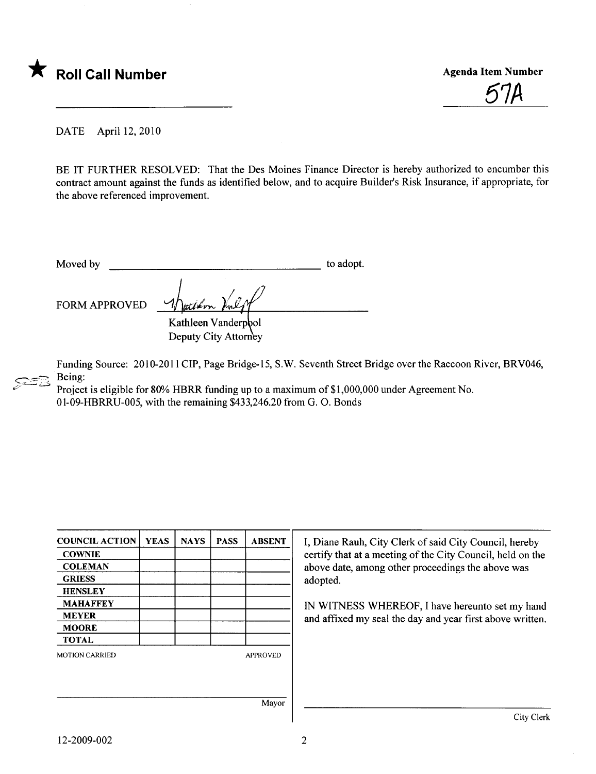

<u>5'IA</u>

DATE April 12,2010

BE IT FURTHER RESOLVED: That the Des Moines Finance Director is hereby authorized to encumber this contract amount against the funds as identified below, and to acquire Builder's Risk Insurance, if appropriate, for the above referenced improvement.

Moved by to adopt.

FORM APPROVED

Kathleen Vanderpool Deputy City Attorney

ى تىتىمى Funding Source: 2010-2011 CIP, Page Bridge-15, S.W. Seventh Street Bridge over the Raccoon River, BRV046, Being:

Project is eligible for 80% HBRR funding up to a maximum of \$1,000,000 under Agreement No. 01-09-HBRRU-005, with the remaining \$433,246.20 from G. O. Bonds

| <b>COUNCIL ACTION</b> | <b>YEAS</b> | <b>NAYS</b> | <b>PASS</b> | <b>ABSENT</b>   | I, Diane   |
|-----------------------|-------------|-------------|-------------|-----------------|------------|
| <b>COWNIE</b>         |             |             |             |                 | certify th |
| <b>COLEMAN</b>        |             |             |             |                 | above da   |
| <b>GRIESS</b>         |             |             |             |                 | adopted.   |
| <b>HENSLEY</b>        |             |             |             |                 |            |
| <b>MAHAFFEY</b>       |             |             |             |                 | IN WIT     |
| <b>MEYER</b>          |             |             |             |                 | and affix  |
| <b>MOORE</b>          |             |             |             |                 |            |
| <b>TOTAL</b>          |             |             |             |                 |            |
| <b>MOTION CARRIED</b> |             |             |             | <b>APPROVED</b> |            |
|                       |             |             |             |                 |            |
|                       |             |             |             | Mayor           |            |
|                       |             |             |             |                 |            |

Ine Rauh, City Clerk of said City Council, hereby y that at a meeting of the City Council, held on the date, among other proceedings the above was

ITNESS WHEREOF, I have hereunto set my hand ffixed my seal the day and year first above written.